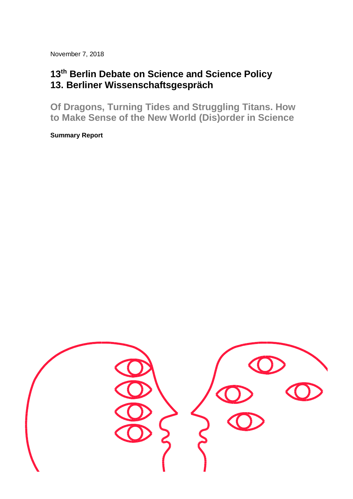November 7, 2018

# **13th Berlin Debate on Science and Science Policy 13. Berliner Wissenschaftsgespräch**

**Of Dragons, Turning Tides and Struggling Titans. How to Make Sense of the New World (Dis)order in Science**

**Summary Report**

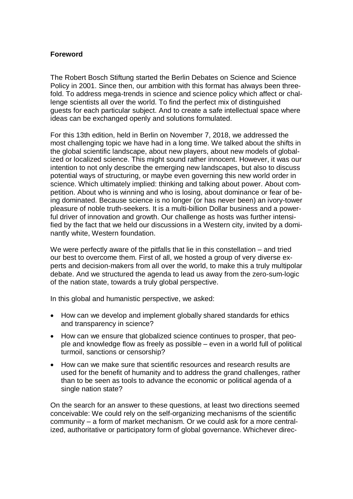# **Foreword**

The Robert Bosch Stiftung started the Berlin Debates on Science and Science Policy in 2001. Since then, our ambition with this format has always been threefold. To address mega-trends in science and science policy which affect or challenge scientists all over the world. To find the perfect mix of distinguished guests for each particular subject. And to create a safe intellectual space where ideas can be exchanged openly and solutions formulated.

For this 13th edition, held in Berlin on November 7, 2018, we addressed the most challenging topic we have had in a long time. We talked about the shifts in the global scientific landscape, about new players, about new models of globalized or localized science. This might sound rather innocent. However, it was our intention to not only describe the emerging new landscapes, but also to discuss potential ways of structuring, or maybe even governing this new world order in science. Which ultimately implied: thinking and talking about power. About competition. About who is winning and who is losing, about dominance or fear of being dominated. Because science is no longer (or has never been) an ivory-tower pleasure of noble truth-seekers. It is a multi-billion Dollar business and a powerful driver of innovation and growth. Our challenge as hosts was further intensified by the fact that we held our discussions in a Western city, invited by a dominantly white, Western foundation.

We were perfectly aware of the pitfalls that lie in this constellation – and tried our best to overcome them. First of all, we hosted a group of very diverse experts and decision-makers from all over the world, to make this a truly multipolar debate. And we structured the agenda to lead us away from the zero-sum-logic of the nation state, towards a truly global perspective.

In this global and humanistic perspective, we asked:

- How can we develop and implement globally shared standards for ethics and transparency in science?
- How can we ensure that globalized science continues to prosper, that people and knowledge flow as freely as possible – even in a world full of political turmoil, sanctions or censorship?
- How can we make sure that scientific resources and research results are used for the benefit of humanity and to address the grand challenges, rather than to be seen as tools to advance the economic or political agenda of a single nation state?

On the search for an answer to these questions, at least two directions seemed conceivable: We could rely on the self-organizing mechanisms of the scientific community – a form of market mechanism. Or we could ask for a more centralized, authoritative or participatory form of global governance. Whichever direc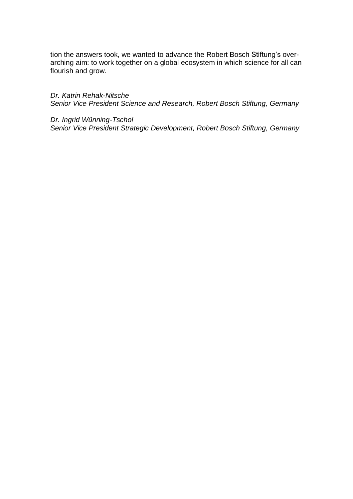tion the answers took, we wanted to advance the Robert Bosch Stiftung's overarching aim: to work together on a global ecosystem in which science for all can flourish and grow.

*Dr. Katrin Rehak-Nitsche*

*Senior Vice President Science and Research, Robert Bosch Stiftung, Germany*

*Dr. Ingrid Wünning-Tschol*

*Senior Vice President Strategic Development, Robert Bosch Stiftung, Germany*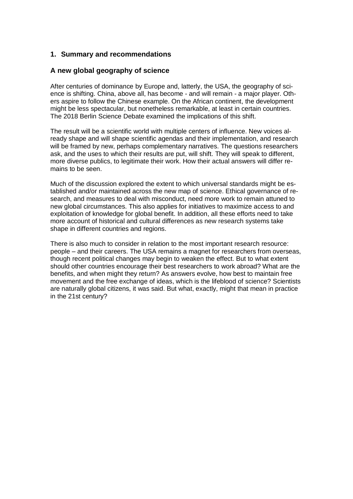# **1. Summary and recommendations**

# **A new global geography of science**

After centuries of dominance by Europe and, latterly, the USA, the geography of science is shifting. China, above all, has become - and will remain - a major player. Others aspire to follow the Chinese example. On the African continent, the development might be less spectacular, but nonetheless remarkable, at least in certain countries. The 2018 Berlin Science Debate examined the implications of this shift.

The result will be a scientific world with multiple centers of influence. New voices already shape and will shape scientific agendas and their implementation, and research will be framed by new, perhaps complementary narratives. The questions researchers ask, and the uses to which their results are put, will shift. They will speak to different, more diverse publics, to legitimate their work. How their actual answers will differ remains to be seen.

Much of the discussion explored the extent to which universal standards might be established and/or maintained across the new map of science. Ethical governance of research, and measures to deal with misconduct, need more work to remain attuned to new global circumstances. This also applies for initiatives to maximize access to and exploitation of knowledge for global benefit. In addition, all these efforts need to take more account of historical and cultural differences as new research systems take shape in different countries and regions.

There is also much to consider in relation to the most important research resource: people – and their careers. The USA remains a magnet for researchers from overseas, though recent political changes may begin to weaken the effect. But to what extent should other countries encourage their best researchers to work abroad? What are the benefits, and when might they return? As answers evolve, how best to maintain free movement and the free exchange of ideas, which is the lifeblood of science? Scientists are naturally global citizens, it was said. But what, exactly, might that mean in practice in the 21st century?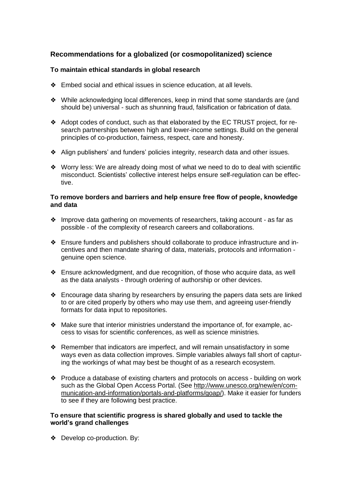# **Recommendations for a globalized (or cosmopolitanized) science**

# **To maintain ethical standards in global research**

- ❖ Embed social and ethical issues in science education, at all levels.
- ❖ While acknowledging local differences, keep in mind that some standards are (and should be) universal - such as shunning fraud, falsification or fabrication of data.
- ❖ Adopt codes of conduct, such as that elaborated by the EC TRUST project, for research partnerships between high and lower-income settings. Build on the general principles of co-production, fairness, respect, care and honesty.
- ❖ Align publishers' and funders' policies integrity, research data and other issues.
- ❖ Worry less: We are already doing most of what we need to do to deal with scientific misconduct. Scientists' collective interest helps ensure self-regulation can be effective.

### **To remove borders and barriers and help ensure free flow of people, knowledge and data**

- ❖ Improve data gathering on movements of researchers, taking account as far as possible - of the complexity of research careers and collaborations.
- ❖ Ensure funders and publishers should collaborate to produce infrastructure and incentives and then mandate sharing of data, materials, protocols and information genuine open science.
- ❖ Ensure acknowledgment, and due recognition, of those who acquire data, as well as the data analysts - through ordering of authorship or other devices.
- ❖ Encourage data sharing by researchers by ensuring the papers data sets are linked to or are cited properly by others who may use them, and agreeing user-friendly formats for data input to repositories.
- ❖ Make sure that interior ministries understand the importance of, for example, access to visas for scientific conferences, as well as science ministries.
- ❖ Remember that indicators are imperfect, and will remain unsatisfactory in some ways even as data collection improves. Simple variables always fall short of capturing the workings of what may best be thought of as a research ecosystem.
- ❖ Produce a database of existing charters and protocols on access building on work such as the Global Open Access Portal. (See [http://www.unesco.org/new/en/com](http://www.unesco.org/new/en/communication-and-information/portals-and-platforms/goap/)[munication-and-information/portals-and-platforms/goap/\)](http://www.unesco.org/new/en/communication-and-information/portals-and-platforms/goap/). Make it easier for funders to see if they are following best practice.

## **To ensure that scientific progress is shared globally and used to tackle the world's grand challenges**

❖ Develop co-production. By: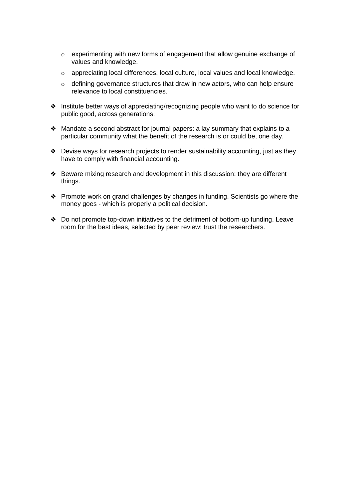- o experimenting with new forms of engagement that allow genuine exchange of values and knowledge.
- $\circ$  appreciating local differences, local culture, local values and local knowledge.
- o defining governance structures that draw in new actors, who can help ensure relevance to local constituencies.
- ❖ Institute better ways of appreciating/recognizing people who want to do science for public good, across generations.
- ❖ Mandate a second abstract for journal papers: a lay summary that explains to a particular community what the benefit of the research is or could be, one day.
- ❖ Devise ways for research projects to render sustainability accounting, just as they have to comply with financial accounting.
- ❖ Beware mixing research and development in this discussion: they are different things.
- ❖ Promote work on grand challenges by changes in funding. Scientists go where the money goes - which is properly a political decision.
- ❖ Do not promote top-down initiatives to the detriment of bottom-up funding. Leave room for the best ideas, selected by peer review: trust the researchers.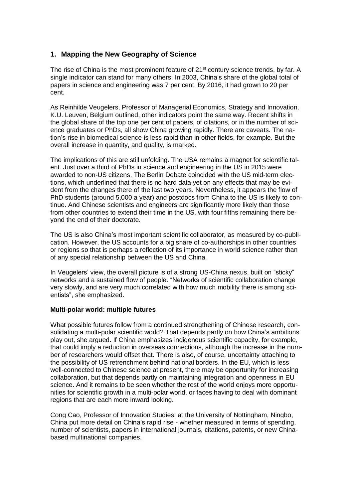# **1. Mapping the New Geography of Science**

The rise of China is the most prominent feature of  $21<sup>st</sup>$  century science trends, by far. A single indicator can stand for many others. In 2003, China's share of the global total of papers in science and engineering was 7 per cent. By 2016, it had grown to 20 per cent.

As Reinhilde Veugelers, Professor of Managerial Economics, Strategy and Innovation, K.U. Leuven, Belgium outlined, other indicators point the same way. Recent shifts in the global share of the top one per cent of papers, of citations, or in the number of science graduates or PhDs, all show China growing rapidly. There are caveats. The nation's rise in biomedical science is less rapid than in other fields, for example. But the overall increase in quantity, and quality, is marked.

The implications of this are still unfolding. The USA remains a magnet for scientific talent. Just over a third of PhDs in science and engineering in the US in 2015 were awarded to non-US citizens. The Berlin Debate coincided with the US mid-term elections, which underlined that there is no hard data yet on any effects that may be evident from the changes there of the last two years. Nevertheless, it appears the flow of PhD students (around 5,000 a year) and postdocs from China to the US is likely to continue. And Chinese scientists and engineers are significantly more likely than those from other countries to extend their time in the US, with four fifths remaining there beyond the end of their doctorate.

The US is also China's most important scientific collaborator, as measured by co-publication. However, the US accounts for a big share of co-authorships in other countries or regions so that is perhaps a reflection of its importance in world science rather than of any special relationship between the US and China.

In Veugelers' view, the overall picture is of a strong US-China nexus, built on "sticky" networks and a sustained flow of people. "Networks of scientific collaboration change very slowly, and are very much correlated with how much mobility there is among scientists", she emphasized.

## **Multi-polar world: multiple futures**

What possible futures follow from a continued strengthening of Chinese research, consolidating a multi-polar scientific world? That depends partly on how China's ambitions play out, she argued. If China emphasizes indigenous scientific capacity, for example, that could imply a reduction in overseas connections, although the increase in the number of researchers would offset that. There is also, of course, uncertainty attaching to the possibility of US retrenchment behind national borders. In the EU, which is less well-connected to Chinese science at present, there may be opportunity for increasing collaboration, but that depends partly on maintaining integration and openness in EU science. And it remains to be seen whether the rest of the world enjoys more opportunities for scientific growth in a multi-polar world, or faces having to deal with dominant regions that are each more inward looking.

Cong Cao, Professor of Innovation Studies, at the University of Nottingham, Ningbo, China put more detail on China's rapid rise - whether measured in terms of spending, number of scientists, papers in international journals, citations, patents, or new Chinabased multinational companies.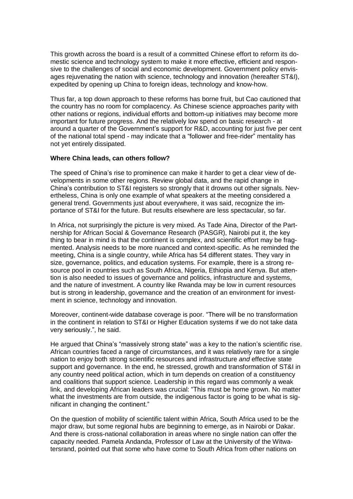This growth across the board is a result of a committed Chinese effort to reform its domestic science and technology system to make it more effective, efficient and responsive to the challenges of social and economic development. Government policy envisages rejuvenating the nation with science, technology and innovation (hereafter ST&I), expedited by opening up China to foreign ideas, technology and know-how.

Thus far, a top down approach to these reforms has borne fruit, but Cao cautioned that the country has no room for complacency. As Chinese science approaches parity with other nations or regions, individual efforts and bottom-up initiatives may become more important for future progress. And the relatively low spend on basic research - at around a quarter of the Government's support for R&D, accounting for just five per cent of the national total spend - may indicate that a "follower and free-rider" mentality has not yet entirely dissipated.

#### **Where China leads, can others follow?**

The speed of China's rise to prominence can make it harder to get a clear view of developments in some other regions. Review global data, and the rapid change in China's contribution to ST&I registers so strongly that it drowns out other signals. Nevertheless, China is only one example of what speakers at the meeting considered a general trend. Governments just about everywhere, it was said, recognize the importance of ST&I for the future. But results elsewhere are less spectacular, so far.

In Africa, not surprisingly the picture is very mixed. As Tade Aina, Director of the Partnership for African Social & Governance Research (PASGR), Nairobi put it, the key thing to bear in mind is that the continent is complex, and scientific effort may be fragmented. Analysis needs to be more nuanced and context-specific. As he reminded the meeting, China is a single country, while Africa has 54 different states. They vary in size, governance, politics, and education systems. For example, there is a strong resource pool in countries such as South Africa, Nigeria, Ethiopia and Kenya. But attention is also needed to issues of governance and politics, infrastructure and systems, and the nature of investment. A country like Rwanda may be low in current resources but is strong in leadership, governance and the creation of an environment for investment in science, technology and innovation.

Moreover, continent-wide database coverage is poor. "There will be no transformation in the continent in relation to ST&I or Higher Education systems if we do not take data very seriously.", he said.

He argued that China's "massively strong state" was a key to the nation's scientific rise. African countries faced a range of circumstances, and it was relatively rare for a single nation to enjoy both strong scientific resources and infrastructure *and* effective state support and governance. In the end, he stressed, growth and transformation of ST&I in any country need political action, which in turn depends on creation of a constituency and coalitions that support science. Leadership in this regard was commonly a weak link, and developing African leaders was crucial: "This must be home grown. No matter what the investments are from outside, the indigenous factor is going to be what is significant in changing the continent."

On the question of mobility of scientific talent within Africa, South Africa used to be the major draw, but some regional hubs are beginning to emerge, as in Nairobi or Dakar. And there is cross-national collaboration in areas where no single nation can offer the capacity needed. Pamela Andanda, Professor of Law at the University of the Witwatersrand, pointed out that some who have come to South Africa from other nations on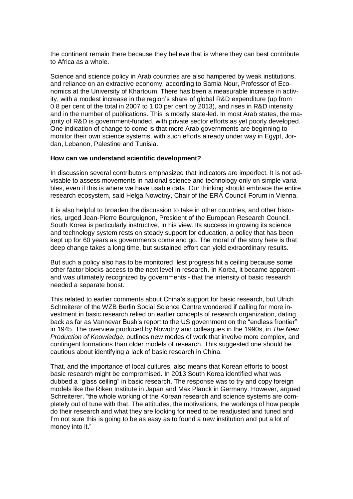the continent remain there because they believe that is where they can best contribute to Africa as a whole.

Science and science policy in Arab countries are also hampered by weak institutions, and reliance on an extractive economy, according to Samia Nour, Professor of Economics at the University of Khartoum. There has been a measurable increase in activity, with a modest increase in the region's share of global R&D expenditure (up from 0.8 per cent of the total in 2007 to 1.00 per cent by 2013), and rises in R&D intensity and in the number of publications. This is mostly state-led. In most Arab states, the majority of R&D is government-funded, with private sector efforts as yet poorly developed. One indication of change to come is that more Arab governments are beginning to monitor their own science systems, with such efforts already under way in Egypt, Jordan, Lebanon, Palestine and Tunisia.

#### **How can we understand scientific development?**

In discussion several contributors emphasized that indicators are imperfect. It is not advisable to assess movements in national science and technology only on simple variables, even if this is where we have usable data. Our thinking should embrace the entire research ecosystem, said Helga Nowotny, Chair of the ERA Council Forum in Vienna.

It is also helpful to broaden the discussion to take in other countries, and other histories, urged Jean-Pierre Bourguignon, President of the European Research Council. South Korea is particularly instructive, in his view. Its success in growing its science and technology system rests on steady support for education, a policy that has been kept up for 60 years as governments come and go. The moral of the story here is that deep change takes a long time, but sustained effort can yield extraordinary results.

But such a policy also has to be monitored, lest progress hit a ceiling because some other factor blocks access to the next level in research. In Korea, it became apparent and was ultimately recognized by governments - that the intensity of basic research needed a separate boost.

This related to earlier comments about China's support for basic research, but Ulrich Schreiterer of the WZB Berlin Social Science Centre wondered if calling for more investment in basic research relied on earlier concepts of research organization, dating back as far as Vannevar Bush's report to the US government on the "endless frontier" in 1945. The overview produced by Nowotny and colleagues in the 1990s, in *The New Production of Knowledge*, outlines new modes of work that involve more complex, and contingent formations than older models of research. This suggested one should be cautious about identifying a lack of basic research in China.

That, and the importance of local cultures, also means that Korean efforts to boost basic research might be compromised. In 2013 South Korea identified what was dubbed a "glass ceiling" in basic research. The response was to try and copy foreign models like the Riken Institute in Japan and Max Planck in Germany. However, argued Schreiterer, "the whole working of the Korean research and science systems are completely out of tune with that. The attitudes, the motivations, the workings of how people do their research and what they are looking for need to be readjusted and tuned and I'm not sure this is going to be as easy as to found a new institution and put a lot of money into it."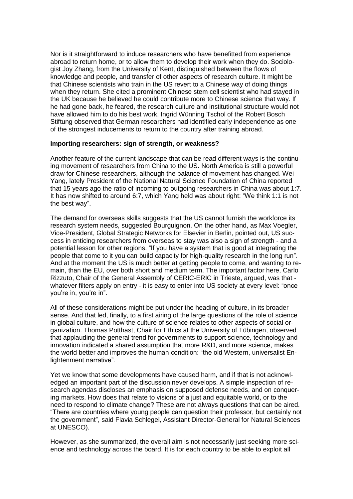Nor is it straightforward to induce researchers who have benefitted from experience abroad to return home, or to allow them to develop their work when they do. Sociologist Joy Zhang, from the University of Kent, distinguished between the flows of knowledge and people, and transfer of other aspects of research culture. It might be that Chinese scientists who train in the US revert to a Chinese way of doing things when they return. She cited a prominent Chinese stem cell scientist who had stayed in the UK because he believed he could contribute more to Chinese science that way. If he had gone back, he feared, the research culture and institutional structure would not have allowed him to do his best work. Ingrid Wünning Tschol of the Robert Bosch Stiftung observed that German researchers had identified early independence as one of the strongest inducements to return to the country after training abroad.

#### **Importing researchers: sign of strength, or weakness?**

Another feature of the current landscape that can be read different ways is the continuing movement of researchers from China to the US. North America is still a powerful draw for Chinese researchers, although the balance of movement has changed. Wei Yang, lately President of the National Natural Science Foundation of China reported that 15 years ago the ratio of incoming to outgoing researchers in China was about 1:7. It has now shifted to around 6:7, which Yang held was about right: "We think 1:1 is not the best way".

The demand for overseas skills suggests that the US cannot furnish the workforce its research system needs, suggested Bourguignon. On the other hand, as Max Voegler, Vice-President, Global Strategic Networks for Elsevier in Berlin, pointed out, US success in enticing researchers from overseas to stay was also a sign of strength - and a potential lesson for other regions. "If you have a system that is good at integrating the people that come to it you can build capacity for high-quality research in the long run". And at the moment the US is much better at getting people to come, and wanting to remain, than the EU, over both short and medium term. The important factor here, Carlo Rizzuto, Chair of the General Assembly of CERIC-ERIC in Trieste, argued, was that whatever filters apply on entry - it is easy to enter into US society at every level: "once you're in, you're in".

All of these considerations might be put under the heading of culture, in its broader sense. And that led, finally, to a first airing of the large questions of the role of science in global culture, and how the culture of science relates to other aspects of social organization. Thomas Potthast, Chair for Ethics at the University of Tübingen, observed that applauding the general trend for governments to support science, technology and innovation indicated a shared assumption that more R&D, and more science, makes the world better and improves the human condition: "the old Western, universalist Enlightenment narrative".

Yet we know that some developments have caused harm, and if that is not acknowledged an important part of the discussion never develops. A simple inspection of research agendas discloses an emphasis on supposed defense needs, and on conquering markets. How does that relate to visions of a just and equitable world, or to the need to respond to climate change? These are not always questions that can be aired. "There are countries where young people can question their professor, but certainly not the government", said Flavia Schlegel, Assistant Director-General for Natural Sciences at UNESCO).

However, as she summarized, the overall aim is not necessarily just seeking more science and technology across the board. It is for each country to be able to exploit all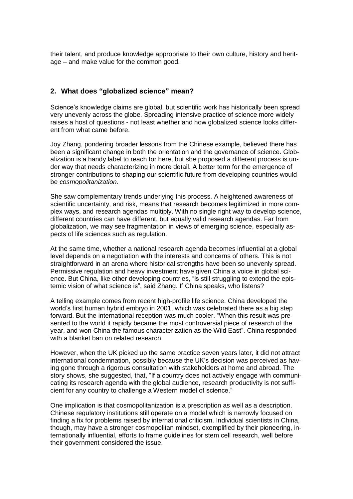their talent, and produce knowledge appropriate to their own culture, history and heritage – and make value for the common good.

# **2. What does "globalized science" mean?**

Science's knowledge claims are global, but scientific work has historically been spread very unevenly across the globe. Spreading intensive practice of science more widely raises a host of questions - not least whether and how globalized science looks different from what came before.

Joy Zhang, pondering broader lessons from the Chinese example, believed there has been a significant change in both the orientation and the governance of science. Globalization is a handy label to reach for here, but she proposed a different process is under way that needs characterizing in more detail. A better term for the emergence of stronger contributions to shaping our scientific future from developing countries would be *cosmopolitanization*.

She saw complementary trends underlying this process. A heightened awareness of scientific uncertainty, and risk, means that research becomes legitimized in more complex ways, and research agendas multiply. With no single right way to develop science, different countries can have different, but equally valid research agendas. Far from globalization, we may see fragmentation in views of emerging science, especially aspects of life sciences such as regulation.

At the same time, whether a national research agenda becomes influential at a global level depends on a negotiation with the interests and concerns of others. This is not straightforward in an arena where historical strengths have been so unevenly spread. Permissive regulation and heavy investment have given China a voice in global science. But China, like other developing countries, "is still struggling to extend the epistemic vision of what science is", said Zhang. If China speaks, who listens?

A telling example comes from recent high-profile life science. China developed the world's first human hybrid embryo in 2001, which was celebrated there as a big step forward. But the international reception was much cooler. "When this result was presented to the world it rapidly became the most controversial piece of research of the year, and won China the famous characterization as the Wild East". China responded with a blanket ban on related research.

However, when the UK picked up the same practice seven years later, it did not attract international condemnation, possibly because the UK's decision was perceived as having gone through a rigorous consultation with stakeholders at home and abroad. The story shows, she suggested, that, "If a country does not actively engage with communicating its research agenda with the global audience, research productivity is not sufficient for any country to challenge a Western model of science."

One implication is that cosmopolitanization is a prescription as well as a description. Chinese regulatory institutions still operate on a model which is narrowly focused on finding a fix for problems raised by international criticism. Individual scientists in China, though, may have a stronger cosmopolitan mindset, exemplified by their pioneering, internationally influential, efforts to frame guidelines for stem cell research, well before their government considered the issue.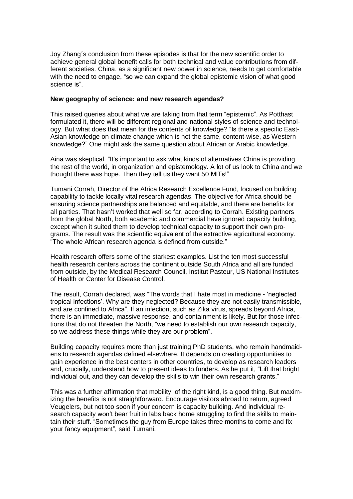Joy Zhang´s conclusion from these episodes is that for the new scientific order to achieve general global benefit calls for both technical and value contributions from different societies. China, as a significant new power in science, needs to get comfortable with the need to engage, "so we can expand the global epistemic vision of what good science is".

#### **New geography of science: and new research agendas?**

This raised queries about what we are taking from that term "epistemic". As Potthast formulated it, there will be different regional and national styles of science and technology. But what does that mean for the contents of knowledge? "Is there a specific East-Asian knowledge on climate change which is not the same, content-wise, as Western knowledge?" One might ask the same question about African or Arabic knowledge.

Aina was skeptical. "It's important to ask what kinds of alternatives China is providing the rest of the world, in organization and epistemology. A lot of us look to China and we thought there was hope. Then they tell us they want 50 MITs!"

Tumani Corrah, Director of the Africa Research Excellence Fund, focused on building capability to tackle locally vital research agendas. The objective for Africa should be ensuring science partnerships are balanced and equitable, and there are benefits for all parties. That hasn't worked that well so far, according to Corrah. Existing partners from the global North, both academic and commercial have ignored capacity building, except when it suited them to develop technical capacity to support their own programs. The result was the scientific equivalent of the extractive agricultural economy. "The whole African research agenda is defined from outside."

Health research offers some of the starkest examples. List the ten most successful health research centers across the continent outside South Africa and all are funded from outside, by the Medical Research Council, Institut Pasteur, US National Institutes of Health or Center for Disease Control.

The result, Corrah declared, was "The words that I hate most in medicine - 'neglected tropical infections'. Why are they neglected? Because they are not easily transmissible, and are confined to Africa". If an infection, such as Zika virus, spreads beyond Africa, there is an immediate, massive response, and containment is likely. But for those infections that do not threaten the North, "we need to establish our own research capacity, so we address these things while they are our problem".

Building capacity requires more than just training PhD students, who remain handmaidens to research agendas defined elsewhere. It depends on creating opportunities to gain experience in the best centers in other countries, to develop as research leaders and, crucially, understand how to present ideas to funders. As he put it, "Lift that bright individual out, and they can develop the skills to win their own research grants."

This was a further affirmation that mobility, of the right kind, is a good thing. But maximizing the benefits is not straightforward. Encourage visitors abroad to return, agreed Veugelers, but not too soon if your concern is capacity building. And individual research capacity won't bear fruit in labs back home struggling to find the skills to maintain their stuff. "Sometimes the guy from Europe takes three months to come and fix your fancy equipment", said Tumani.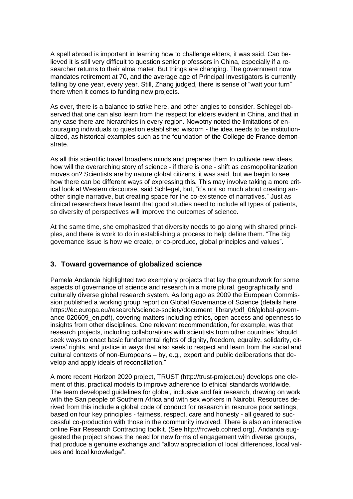A spell abroad is important in learning how to challenge elders, it was said. Cao believed it is still very difficult to question senior professors in China, especially if a researcher returns to their alma mater. But things are changing. The government now mandates retirement at 70, and the average age of Principal Investigators is currently falling by one year, every year. Still, Zhang judged, there is sense of "wait your turn" there when it comes to funding new projects.

As ever, there is a balance to strike here, and other angles to consider. Schlegel observed that one can also learn from the respect for elders evident in China, and that in any case there are hierarchies in every region. Nowotny noted the limitations of encouraging individuals to question established wisdom - the idea needs to be institutionalized, as historical examples such as the foundation of the College de France demonstrate.

As all this scientific travel broadens minds and prepares them to cultivate new ideas, how will the overarching story of science - if there is one - shift as cosmopolitanization moves on? Scientists are by nature global citizens, it was said, but we begin to see how there can be different ways of expressing this. This may involve taking a more critical look at Western discourse, said Schlegel, but, "it's not so much about creating another single narrative, but creating space for the co-existence of narratives." Just as clinical researchers have learnt that good studies need to include all types of patients, so diversity of perspectives will improve the outcomes of science.

At the same time, she emphasized that diversity needs to go along with shared principles, and there is work to do in establishing a process to help define them. "The big governance issue is how we create, or co-produce, global principles and values".

# **3. Toward governance of globalized science**

Pamela Andanda highlighted two exemplary projects that lay the groundwork for some aspects of governance of science and research in a more plural, geographically and culturally diverse global research system. As long ago as 2009 the European Commission published a working group report on Global Governance of Science (details here [https://ec.europa.eu/research/science-society/document\\_library/pdf\\_06/global-govern](https://ec.europa.eu/research/science-society/document_library/pdf_06/global-governance-020609_en.pdf)[ance-020609\\_en.pdf\)](https://ec.europa.eu/research/science-society/document_library/pdf_06/global-governance-020609_en.pdf), covering matters including ethics, open access and openness to insights from other disciplines. One relevant recommendation, for example, was that research projects, including collaborations with scientists from other countries "should seek ways to enact basic fundamental rights of dignity, freedom, equality, solidarity, citizens' rights, and justice in ways that also seek to respect and learn from the social and cultural contexts of non-Europeans – by, e.g., expert and public deliberations that develop and apply ideals of reconciliation."

A more recent Horizon 2020 project, TRUST [\(http://trust-project.eu\)](http://trust-project.eu/) develops one element of this, practical models to improve adherence to ethical standards worldwide. The team developed guidelines for global, inclusive and fair research, drawing on work with the San people of Southern Africa and with sex workers in Nairobi. Resources derived from this include a global code of conduct for research in resource poor settings, based on four key principles - fairness, respect, care and honesty - all geared to successful co-production with those in the community involved. There is also an interactive online Fair Research Contracting toolkit. (See [http://frcweb.cohred.org\)](http://frcweb.cohred.org/). Andanda suggested the project shows the need for new forms of engagement with diverse groups, that produce a genuine exchange and "allow appreciation of local differences, local values and local knowledge".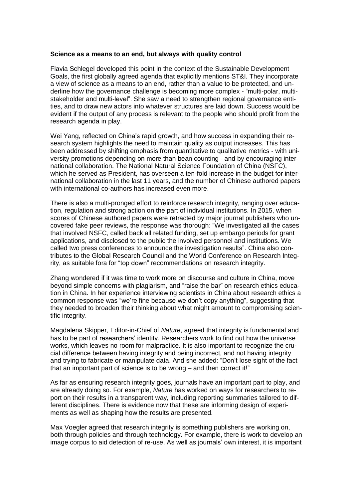#### **Science as a means to an end, but always with quality control**

Flavia Schlegel developed this point in the context of the Sustainable Development Goals, the first globally agreed agenda that explicitly mentions ST&I. They incorporate a view of science as a means to an end, rather than a value to be protected, and underline how the governance challenge is becoming more complex - "multi-polar, multistakeholder and multi-level". She saw a need to strengthen regional governance entities, and to draw new actors into whatever structures are laid down. Success would be evident if the output of any process is relevant to the people who should profit from the research agenda in play.

Wei Yang, reflected on China's rapid growth, and how success in expanding their research system highlights the need to maintain quality as output increases. This has been addressed by shifting emphasis from quantitative to qualitative metrics - with university promotions depending on more than bean counting - and by encouraging international collaboration. The National Natural Science Foundation of China (NSFC), which he served as President, has overseen a ten-fold increase in the budget for international collaboration in the last 11 years, and the number of Chinese authored papers with international co-authors has increased even more.

There is also a multi-pronged effort to reinforce research integrity, ranging over education, regulation and strong action on the part of individual institutions. In 2015, when scores of Chinese authored papers were retracted by major journal publishers who uncovered fake peer reviews, the response was thorough: "We investigated all the cases that involved NSFC, called back all related funding, set up embargo periods for grant applications, and disclosed to the public the involved personnel and institutions. We called two press conferences to announce the investigation results". China also contributes to the Global Research Council and the World Conference on Research Integrity, as suitable fora for "top down" recommendations on research integrity.

Zhang wondered if it was time to work more on discourse and culture in China, move beyond simple concerns with plagiarism, and "raise the bar" on research ethics education in China. In her experience interviewing scientists in China about research ethics a common response was "we're fine because we don't copy anything", suggesting that they needed to broaden their thinking about what might amount to compromising scientific integrity.

Magdalena Skipper, Editor-in-Chief of *Nature*, agreed that integrity is fundamental and has to be part of researchers' identity. Researchers work to find out how the universe works, which leaves no room for malpractice. It is also important to recognize the crucial difference between having integrity and being incorrect, and not having integrity and trying to fabricate or manipulate data. And she added: "Don't lose sight of the fact that an important part of science is to be wrong – and then correct it!"

As far as ensuring research integrity goes, journals have an important part to play, and are already doing so. For example, *Nature* has worked on ways for researchers to report on their results in a transparent way, including reporting summaries tailored to different disciplines. There is evidence now that these are informing design of experiments as well as shaping how the results are presented.

Max Voegler agreed that research integrity is something publishers are working on, both through policies and through technology. For example, there is work to develop an image corpus to aid detection of re-use. As well as journals' own interest, it is important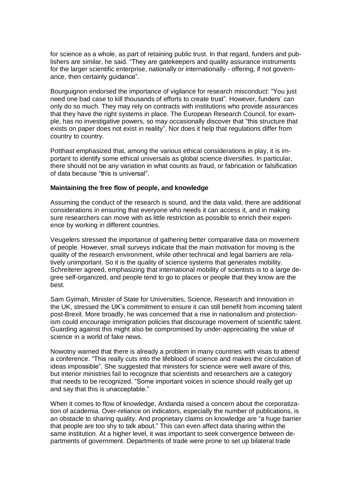for science as a whole, as part of retaining public trust. In that regard, funders and publishers are similar, he said. "They are gatekeepers and quality assurance instruments for the larger scientific enterprise, nationally or internationally - offering, if not governance, then certainly guidance".

Bourguignon endorsed the importance of vigilance for research misconduct: "You just need one bad case to kill thousands of efforts to create trust". However, funders' can only do so much. They may rely on contracts with institutions who provide assurances that they have the right systems in place. The European Research Council, for example, has no investigative powers, so may occasionally discover that "this structure that exists on paper does not exist in reality". Nor does it help that regulations differ from country to country.

Potthast emphasized that, among the various ethical considerations in play, it is important to identify some ethical universals as global science diversifies. In particular, there should not be any variation in what counts as fraud, or fabrication or falsification of data because "this is universal".

#### **Maintaining the free flow of people, and knowledge**

Assuming the conduct of the research is sound, and the data valid, there are additional considerations in ensuring that everyone who needs it can access it, and in making sure researchers can move with as little restriction as possible to enrich their experience by working in different countries.

Veugelers stressed the importance of gathering better comparative data on movement of people. However, small surveys indicate that the main motivation for moving is the quality of the research environment, while other technical and legal barriers are relatively unimportant. So it is the quality of science systems that generates mobility. Schreiterer agreed, emphasizing that international mobility of scientists is to a large degree self-organized, and people tend to go to places or people that they know are the best.

Sam Gyimah, Minister of State for Universities, Science, Research and Innovation in the UK, stressed the UK's commitment to ensure it can still benefit from incoming talent post-Brexit. More broadly, he was concerned that a rise in nationalism and protectionism could encourage immigration policies that discourage movement of scientific talent. Guarding against this might also be compromised by under-appreciating the value of science in a world of fake news.

Nowotny warned that there is already a problem in many countries with visas to attend a conference. "This really cuts into the lifeblood of science and makes the circulation of ideas impossible". She suggested that ministers for science were well aware of this, but interior ministries fail to recognize that scientists and researchers are a category that needs to be recognized. "Some important voices in science should really get up and say that this is unacceptable."

When it comes to flow of knowledge, Andanda raised a concern about the corporatization of academia. Over-reliance on indicators, especially the number of publications, is an obstacle to sharing quality. And proprietary claims on knowledge are "a huge barrier that people are too shy to talk about." This can even affect data sharing within the same institution. At a higher level, it was important to seek convergence between departments of government. Departments of trade were prone to set up bilateral trade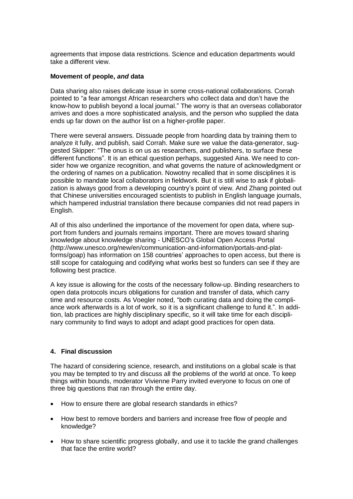agreements that impose data restrictions. Science and education departments would take a different view.

#### **Movement of people,** *and* **data**

Data sharing also raises delicate issue in some cross-national collaborations. Corrah pointed to "a fear amongst African researchers who collect data and don't have the know-how to publish beyond a local journal." The worry is that an overseas collaborator arrives and does a more sophisticated analysis, and the person who supplied the data ends up far down on the author list on a higher-profile paper.

There were several answers. Dissuade people from hoarding data by training them to analyze it fully, and publish, said Corrah. Make sure we value the data-generator, suggested Skipper: "The onus is on us as researchers, and publishers, to surface these different functions". It is an ethical question perhaps, suggested Aina. We need to consider how we organize recognition, and what governs the nature of acknowledgment or the ordering of names on a publication. Nowotny recalled that in some disciplines it is possible to mandate local collaborators in fieldwork. But it is still wise to ask if globalization is always good from a developing country's point of view. And Zhang pointed out that Chinese universities encouraged scientists to publish in English language journals, which hampered industrial translation there because companies did not read papers in English.

All of this also underlined the importance of the movement for open data, where support from funders and journals remains important. There are moves toward sharing knowledge about knowledge sharing - UNESCO's Global Open Access Portal [\(http://www.unesco.org/new/en/communication-and-information/portals-and-plat](http://www.unesco.org/new/en/communication-and-information/portals-and-platforms/goap)[forms/goap\)](http://www.unesco.org/new/en/communication-and-information/portals-and-platforms/goap) has information on 158 countries' approaches to open access, but there is still scope for cataloguing and codifying what works best so funders can see if they are following best practice.

A key issue is allowing for the costs of the necessary follow-up. Binding researchers to open data protocols incurs obligations for curation and transfer of data, which carry time and resource costs. As Voegler noted, "both curating data and doing the compliance work afterwards is a lot of work, so it is a significant challenge to fund it.". In addition, lab practices are highly disciplinary specific, so it will take time for each disciplinary community to find ways to adopt and adapt good practices for open data.

## **4. Final discussion**

The hazard of considering science, research, and institutions on a global scale is that you may be tempted to try and discuss all the problems of the world at once. To keep things within bounds, moderator Vivienne Parry invited everyone to focus on one of three big questions that ran through the entire day.

- How to ensure there are global research standards in ethics?
- How best to remove borders and barriers and increase free flow of people and knowledge?
- How to share scientific progress globally, and use it to tackle the grand challenges that face the entire world?